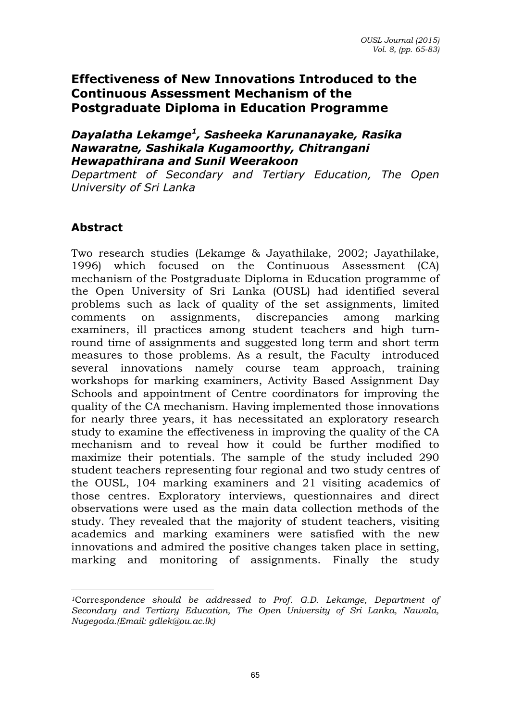# **Effectiveness of New Innovations Introduced to the Continuous Assessment Mechanism of the Postgraduate Diploma in Education Programme**

#### *Dayalatha Lekamge<sup>1</sup> , Sasheeka Karunanayake, Rasika Nawaratne, Sashikala Kugamoorthy, Chitrangani Hewapathirana and Sunil Weerakoon*

*Department of Secondary and Tertiary Education, The Open University of Sri Lanka* 

## **Abstract**

 $\overline{a}$ 

Two research studies (Lekamge & Jayathilake, 2002; Jayathilake, 1996) which focused on the Continuous Assessment (CA) mechanism of the Postgraduate Diploma in Education programme of the Open University of Sri Lanka (OUSL) had identified several problems such as lack of quality of the set assignments, limited comments on assignments, discrepancies among marking examiners, ill practices among student teachers and high turnround time of assignments and suggested long term and short term measures to those problems. As a result, the Faculty introduced several innovations namely course team approach, training workshops for marking examiners, Activity Based Assignment Day Schools and appointment of Centre coordinators for improving the quality of the CA mechanism. Having implemented those innovations for nearly three years, it has necessitated an exploratory research study to examine the effectiveness in improving the quality of the CA mechanism and to reveal how it could be further modified to maximize their potentials. The sample of the study included 290 student teachers representing four regional and two study centres of the OUSL, 104 marking examiners and 21 visiting academics of those centres. Exploratory interviews, questionnaires and direct observations were used as the main data collection methods of the study. They revealed that the majority of student teachers, visiting academics and marking examiners were satisfied with the new innovations and admired the positive changes taken place in setting, marking and monitoring of assignments. Finally the study

*<sup>1</sup>*Corre*spondence should be addressed to Prof. G.D. Lekamge, Department of Secondary and Tertiary Education, The Open University of Sri Lanka, Nawala, Nugegoda.(Email: gdlek@ou.ac.lk)*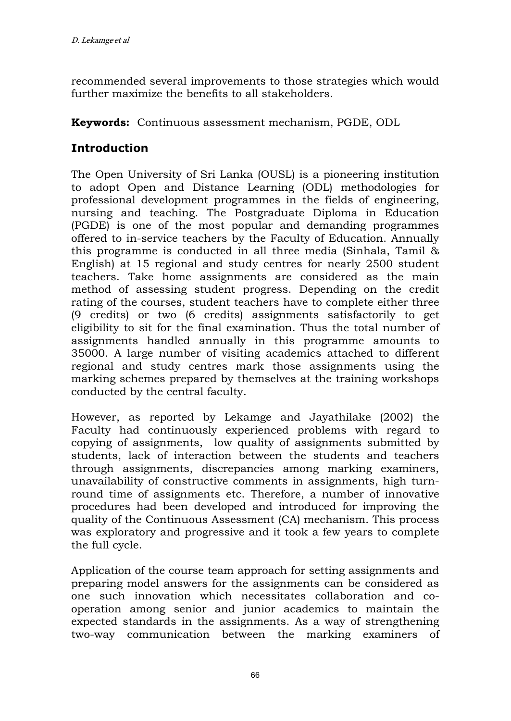recommended several improvements to those strategies which would further maximize the benefits to all stakeholders.

**Keywords:** Continuous assessment mechanism, PGDE, ODL

# **Introduction**

The Open University of Sri Lanka (OUSL) is a pioneering institution to adopt Open and Distance Learning (ODL) methodologies for professional development programmes in the fields of engineering, nursing and teaching. The Postgraduate Diploma in Education (PGDE) is one of the most popular and demanding programmes offered to in-service teachers by the Faculty of Education. Annually this programme is conducted in all three media (Sinhala, Tamil & English) at 15 regional and study centres for nearly 2500 student teachers. Take home assignments are considered as the main method of assessing student progress. Depending on the credit rating of the courses, student teachers have to complete either three (9 credits) or two (6 credits) assignments satisfactorily to get eligibility to sit for the final examination. Thus the total number of assignments handled annually in this programme amounts to 35000. A large number of visiting academics attached to different regional and study centres mark those assignments using the marking schemes prepared by themselves at the training workshops conducted by the central faculty.

However, as reported by Lekamge and Jayathilake (2002) the Faculty had continuously experienced problems with regard to copying of assignments, low quality of assignments submitted by students, lack of interaction between the students and teachers through assignments, discrepancies among marking examiners, unavailability of constructive comments in assignments, high turnround time of assignments etc. Therefore, a number of innovative procedures had been developed and introduced for improving the quality of the Continuous Assessment (CA) mechanism. This process was exploratory and progressive and it took a few years to complete the full cycle.

Application of the course team approach for setting assignments and preparing model answers for the assignments can be considered as one such innovation which necessitates collaboration and cooperation among senior and junior academics to maintain the expected standards in the assignments. As a way of strengthening two-way communication between the marking examiners of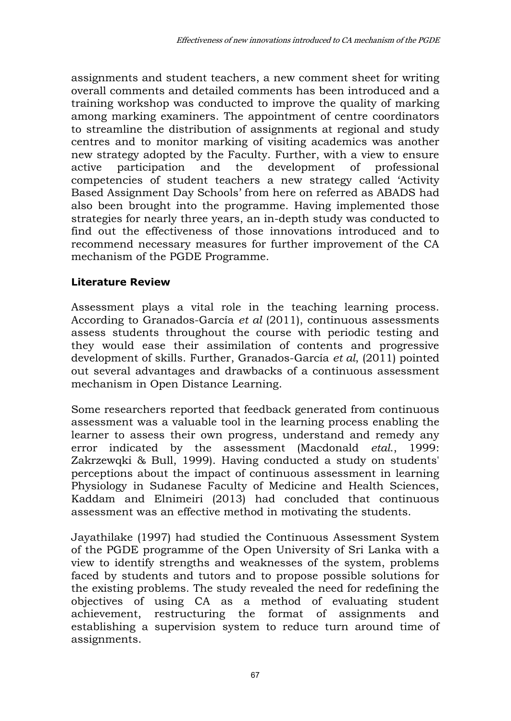assignments and student teachers, a new comment sheet for writing overall comments and detailed comments has been introduced and a training workshop was conducted to improve the quality of marking among marking examiners. The appointment of centre coordinators to streamline the distribution of assignments at regional and study centres and to monitor marking of visiting academics was another new strategy adopted by the Faculty. Further, with a view to ensure active participation and the development of professional competencies of student teachers a new strategy called 'Activity Based Assignment Day Schools' from here on referred as ABADS had also been brought into the programme. Having implemented those strategies for nearly three years, an in-depth study was conducted to find out the effectiveness of those innovations introduced and to recommend necessary measures for further improvement of the CA mechanism of the PGDE Programme.

#### **Literature Review**

Assessment plays a vital role in the teaching learning process. According to Granados-García *et al* (2011), continuous assessments assess students throughout the course with periodic testing and they would ease their assimilation of contents and progressive development of skills. Further, Granados-García *et al*, (2011) pointed out several advantages and drawbacks of a continuous assessment mechanism in Open Distance Learning.

Some researchers reported that feedback generated from continuous assessment was a valuable tool in the learning process enabling the learner to assess their own progress, understand and remedy any error indicated by the assessment (Macdonald *etal*., 1999: Zakrzewqki & Bull, 1999). Having conducted a study on students' perceptions about the impact of continuous assessment in learning Physiology in Sudanese Faculty of Medicine and Health Sciences, Kaddam and Elnimeiri (2013) had concluded that continuous assessment was an effective method in motivating the students.

Jayathilake (1997) had studied the Continuous Assessment System of the PGDE programme of the Open University of Sri Lanka with a view to identify strengths and weaknesses of the system, problems faced by students and tutors and to propose possible solutions for the existing problems. The study revealed the need for redefining the objectives of using CA as a method of evaluating student achievement, restructuring the format of assignments and establishing a supervision system to reduce turn around time of assignments.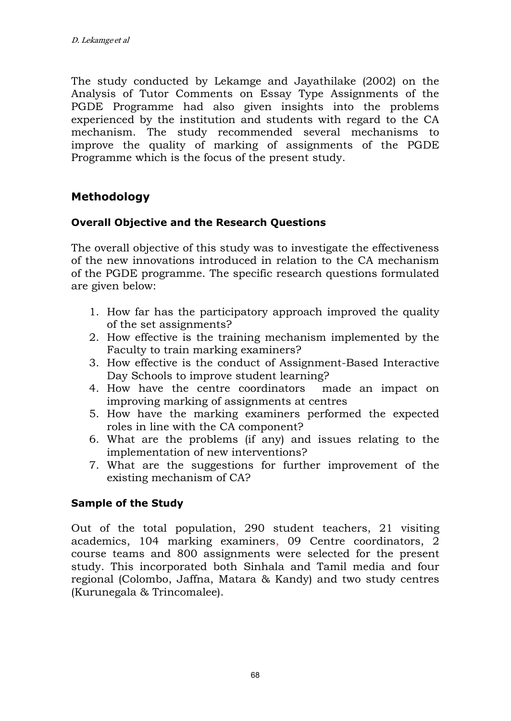The study conducted by Lekamge and Jayathilake (2002) on the Analysis of Tutor Comments on Essay Type Assignments of the PGDE Programme had also given insights into the problems experienced by the institution and students with regard to the CA mechanism. The study recommended several mechanisms to improve the quality of marking of assignments of the PGDE Programme which is the focus of the present study.

## **Methodology**

### **Overall Objective and the Research Questions**

The overall objective of this study was to investigate the effectiveness of the new innovations introduced in relation to the CA mechanism of the PGDE programme. The specific research questions formulated are given below:

- 1. How far has the participatory approach improved the quality of the set assignments?
- 2. How effective is the training mechanism implemented by the Faculty to train marking examiners?
- 3. How effective is the conduct of Assignment-Based Interactive Day Schools to improve student learning?
- 4. How have the centre coordinators made an impact on improving marking of assignments at centres
- 5. How have the marking examiners performed the expected roles in line with the CA component?
- 6. What are the problems (if any) and issues relating to the implementation of new interventions?
- 7. What are the suggestions for further improvement of the existing mechanism of CA?

### **Sample of the Study**

Out of the total population, 290 student teachers, 21 visiting academics, 104 marking examiners, 09 Centre coordinators, 2 course teams and 800 assignments were selected for the present study. This incorporated both Sinhala and Tamil media and four regional (Colombo, Jaffna, Matara & Kandy) and two study centres (Kurunegala & Trincomalee).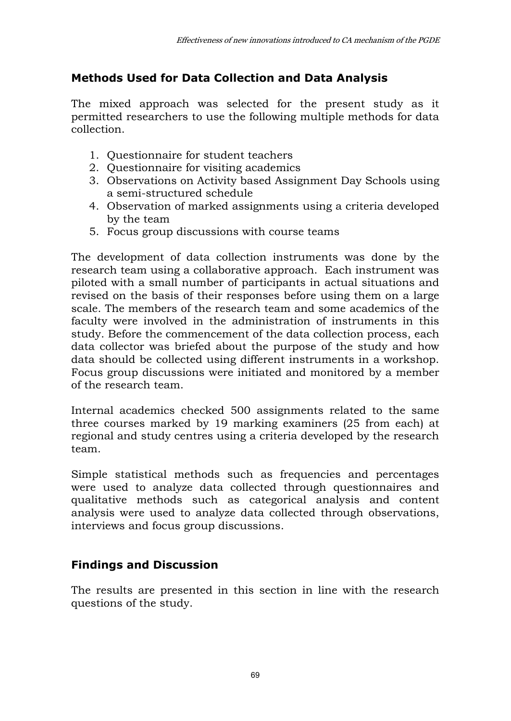# **Methods Used for Data Collection and Data Analysis**

The mixed approach was selected for the present study as it permitted researchers to use the following multiple methods for data collection.

- 1. Questionnaire for student teachers
- 2. Questionnaire for visiting academics
- 3. Observations on Activity based Assignment Day Schools using a semi-structured schedule
- 4. Observation of marked assignments using a criteria developed by the team
- 5. Focus group discussions with course teams

The development of data collection instruments was done by the research team using a collaborative approach. Each instrument was piloted with a small number of participants in actual situations and revised on the basis of their responses before using them on a large scale. The members of the research team and some academics of the faculty were involved in the administration of instruments in this study. Before the commencement of the data collection process, each data collector was briefed about the purpose of the study and how data should be collected using different instruments in a workshop. Focus group discussions were initiated and monitored by a member of the research team.

Internal academics checked 500 assignments related to the same three courses marked by 19 marking examiners (25 from each) at regional and study centres using a criteria developed by the research team.

Simple statistical methods such as frequencies and percentages were used to analyze data collected through questionnaires and qualitative methods such as categorical analysis and content analysis were used to analyze data collected through observations, interviews and focus group discussions.

# **Findings and Discussion**

The results are presented in this section in line with the research questions of the study.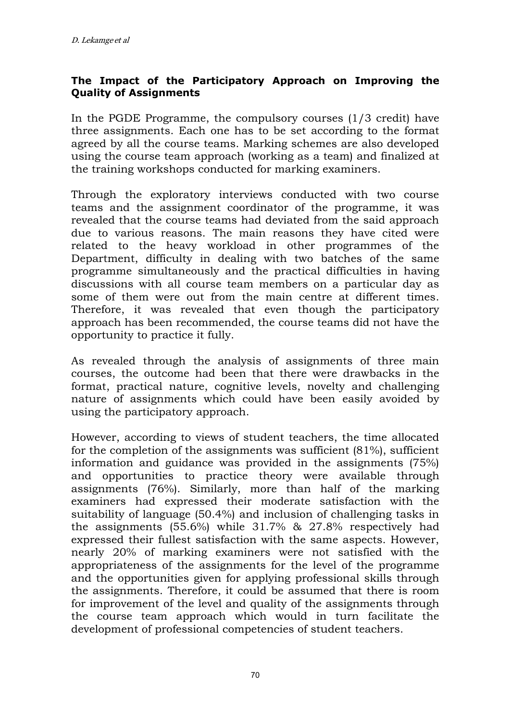### **The Impact of the Participatory Approach on Improving the Quality of Assignments**

In the PGDE Programme, the compulsory courses (1/3 credit) have three assignments. Each one has to be set according to the format agreed by all the course teams. Marking schemes are also developed using the course team approach (working as a team) and finalized at the training workshops conducted for marking examiners.

Through the exploratory interviews conducted with two course teams and the assignment coordinator of the programme, it was revealed that the course teams had deviated from the said approach due to various reasons. The main reasons they have cited were related to the heavy workload in other programmes of the Department, difficulty in dealing with two batches of the same programme simultaneously and the practical difficulties in having discussions with all course team members on a particular day as some of them were out from the main centre at different times. Therefore, it was revealed that even though the participatory approach has been recommended, the course teams did not have the opportunity to practice it fully.

As revealed through the analysis of assignments of three main courses, the outcome had been that there were drawbacks in the format, practical nature, cognitive levels, novelty and challenging nature of assignments which could have been easily avoided by using the participatory approach.

However, according to views of student teachers, the time allocated for the completion of the assignments was sufficient (81%), sufficient information and guidance was provided in the assignments (75%) and opportunities to practice theory were available through assignments (76%). Similarly, more than half of the marking examiners had expressed their moderate satisfaction with the suitability of language (50.4%) and inclusion of challenging tasks in the assignments (55.6%) while 31.7% & 27.8% respectively had expressed their fullest satisfaction with the same aspects. However, nearly 20% of marking examiners were not satisfied with the appropriateness of the assignments for the level of the programme and the opportunities given for applying professional skills through the assignments. Therefore, it could be assumed that there is room for improvement of the level and quality of the assignments through the course team approach which would in turn facilitate the development of professional competencies of student teachers.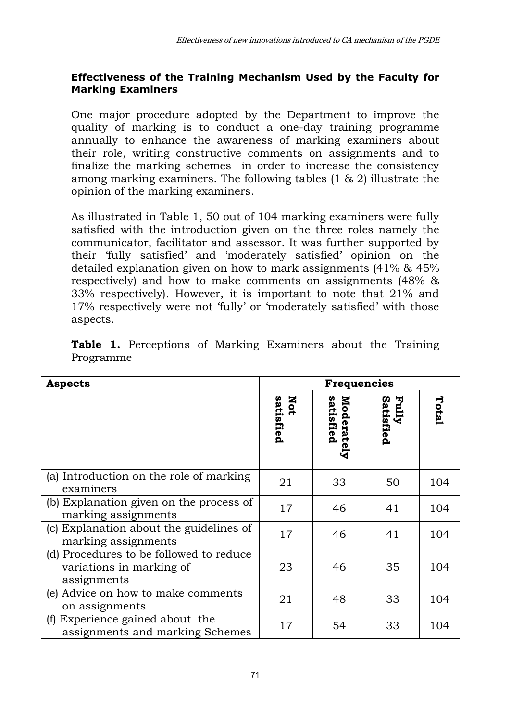### **Effectiveness of the Training Mechanism Used by the Faculty for Marking Examiners**

One major procedure adopted by the Department to improve the quality of marking is to conduct a one-day training programme annually to enhance the awareness of marking examiners about their role, writing constructive comments on assignments and to finalize the marking schemes in order to increase the consistency among marking examiners. The following tables (1 & 2) illustrate the opinion of the marking examiners.

As illustrated in Table 1, 50 out of 104 marking examiners were fully satisfied with the introduction given on the three roles namely the communicator, facilitator and assessor. It was further supported by their 'fully satisfied' and 'moderately satisfied' opinion on the detailed explanation given on how to mark assignments (41% & 45% respectively) and how to make comments on assignments (48% & 33% respectively). However, it is important to note that 21% and 17% respectively were not 'fully' or 'moderately satisfied' with those aspects.

| <b>Aspects</b>                                                                     |                  | Frequencies             |                    |       |
|------------------------------------------------------------------------------------|------------------|-------------------------|--------------------|-------|
|                                                                                    | Not<br>satisfied | Moderately<br>satisfied | Fully<br>Satisfied | Total |
| (a) Introduction on the role of marking<br>examiners                               | 21               | 33                      | 50                 | 104   |
| (b) Explanation given on the process of<br>marking assignments                     | 17               | 46                      | 41                 | 104   |
| (c) Explanation about the guidelines of<br>marking assignments                     | 17               | 46                      | 41                 | 104   |
| (d) Procedures to be followed to reduce<br>variations in marking of<br>assignments | 23               | 46                      | 35                 | 104   |
| (e) Advice on how to make comments<br>on assignments                               | 21               | 48                      | 33                 | 104   |
| (f) Experience gained about the<br>assignments and marking Schemes                 | 17               | 54                      | 33                 | 104   |

Table 1. Perceptions of Marking Examiners about the Training Programme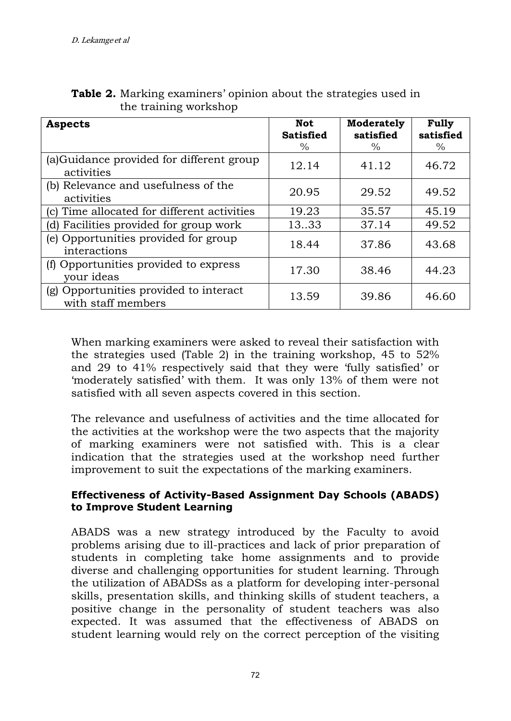| <b>Aspects</b>                                               | Not<br><b>Satisfied</b><br>$\%$ | Moderately<br>satisfied<br>$\%$ | Fully<br>satisfied<br>$\frac{0}{0}$ |
|--------------------------------------------------------------|---------------------------------|---------------------------------|-------------------------------------|
| (a)Guidance provided for different group<br>activities       | 12.14                           | 41.12                           | 46.72                               |
| (b) Relevance and usefulness of the<br>activities            | 20.95                           | 29.52                           | 49.52                               |
| (c) Time allocated for different activities                  | 19.23                           | 35.57                           | 45.19                               |
| Facilities provided for group work<br>d)                     | 1333                            | 37.14                           | 49.52                               |
| (e) Opportunities provided for group<br>interactions         | 18.44                           | 37.86                           | 43.68                               |
| (f) Opportunities provided to express<br>your ideas          | 17.30                           | 38.46                           | 44.23                               |
| (g) Opportunities provided to interact<br>with staff members | 13.59                           | 39.86                           | 46.60                               |

**Table 2.** Marking examiners' opinion about the strategies used in the training workshop

When marking examiners were asked to reveal their satisfaction with the strategies used (Table 2) in the training workshop, 45 to 52% and 29 to 41% respectively said that they were 'fully satisfied' or 'moderately satisfied' with them. It was only 13% of them were not satisfied with all seven aspects covered in this section.

The relevance and usefulness of activities and the time allocated for the activities at the workshop were the two aspects that the majority of marking examiners were not satisfied with. This is a clear indication that the strategies used at the workshop need further improvement to suit the expectations of the marking examiners.

### **Effectiveness of Activity-Based Assignment Day Schools (ABADS) to Improve Student Learning**

ABADS was a new strategy introduced by the Faculty to avoid problems arising due to ill-practices and lack of prior preparation of students in completing take home assignments and to provide diverse and challenging opportunities for student learning. Through the utilization of ABADSs as a platform for developing inter-personal skills, presentation skills, and thinking skills of student teachers, a positive change in the personality of student teachers was also expected. It was assumed that the effectiveness of ABADS on student learning would rely on the correct perception of the visiting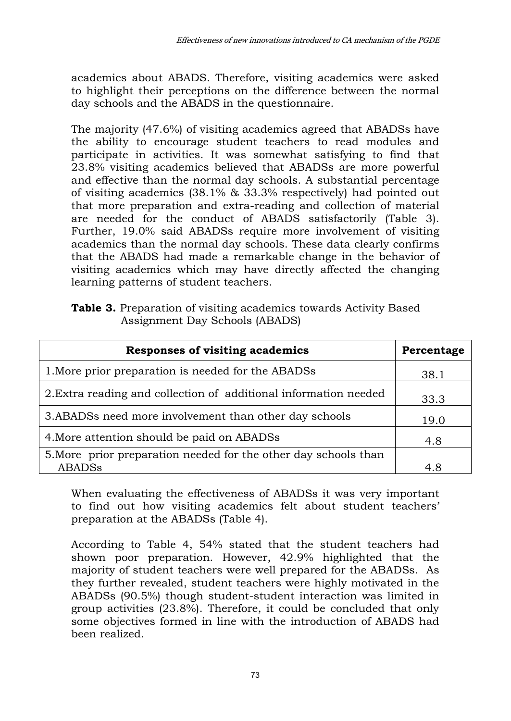academics about ABADS. Therefore, visiting academics were asked to highlight their perceptions on the difference between the normal day schools and the ABADS in the questionnaire.

The majority (47.6%) of visiting academics agreed that ABADSs have the ability to encourage student teachers to read modules and participate in activities. It was somewhat satisfying to find that 23.8% visiting academics believed that ABADSs are more powerful and effective than the normal day schools. A substantial percentage of visiting academics (38.1% & 33.3% respectively) had pointed out that more preparation and extra-reading and collection of material are needed for the conduct of ABADS satisfactorily (Table 3). Further, 19.0% said ABADSs require more involvement of visiting academics than the normal day schools. These data clearly confirms that the ABADS had made a remarkable change in the behavior of visiting academics which may have directly affected the changing learning patterns of student teachers.

**Table 3.** Preparation of visiting academics towards Activity Based Assignment Day Schools (ABADS)

| <b>Responses of visiting academics</b>                           | Percentage |
|------------------------------------------------------------------|------------|
| 1. More prior preparation is needed for the ABADSs               | 38.1       |
| 2. Extra reading and collection of additional information needed | 33.3       |
| 3. ABADSs need more involvement than other day schools           | 19.0       |
| 4. More attention should be paid on ABADSs                       | 4.8        |
| 5. More prior preparation needed for the other day schools than  |            |
| <b>ABADSs</b>                                                    | 4.8        |

When evaluating the effectiveness of ABADSs it was very important to find out how visiting academics felt about student teachers' preparation at the ABADSs (Table 4).

According to Table 4, 54% stated that the student teachers had shown poor preparation. However, 42.9% highlighted that the majority of student teachers were well prepared for the ABADSs. As they further revealed, student teachers were highly motivated in the ABADSs (90.5%) though student-student interaction was limited in group activities (23.8%). Therefore, it could be concluded that only some objectives formed in line with the introduction of ABADS had been realized.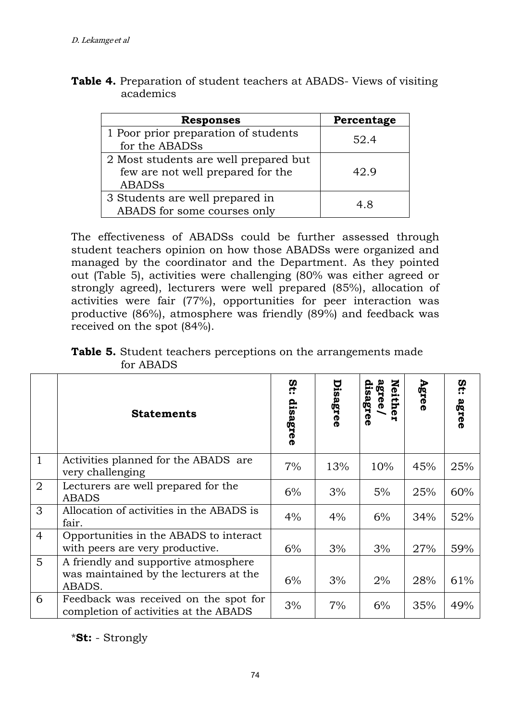| <b>Responses</b>                                                                            | Percentage |
|---------------------------------------------------------------------------------------------|------------|
| 1 Poor prior preparation of students<br>for the ABADSs                                      | 52.4       |
| 2 Most students are well prepared but<br>few are not well prepared for the<br><b>ABADSs</b> | 42.9       |
| 3 Students are well prepared in<br>ABADS for some courses only                              | 4.8        |

**Table 4.** Preparation of student teachers at ABADS- Views of visiting academics

The effectiveness of ABADSs could be further assessed through student teachers opinion on how those ABADSs were organized and managed by the coordinator and the Department. As they pointed out (Table 5), activities were challenging (80% was either agreed or strongly agreed), lecturers were well prepared (85%), allocation of activities were fair (77%), opportunities for peer interaction was productive (86%), atmosphere was friendly (89%) and feedback was received on the spot (84%).

| <b>Table 5.</b> Student teachers perceptions on the arrangements made<br>for ABADS |  |                                                                                                              |  |
|------------------------------------------------------------------------------------|--|--------------------------------------------------------------------------------------------------------------|--|
|                                                                                    |  | $\tilde{\mathbf{q}}$   $\tilde{\mathbf{r}}$ $\tilde{\mathbf{w}}$ $\tilde{\mathbf{s}}$   $\tilde{\mathbf{r}}$ |  |

|                | <b>Statements</b>                                                                        | αť:<br>disagree | Disagree | Neith<br>gree/<br>isagree<br>н | Agree | St:<br>agree |
|----------------|------------------------------------------------------------------------------------------|-----------------|----------|--------------------------------|-------|--------------|
| $\mathbf{1}$   | Activities planned for the ABADS are<br>very challenging                                 | 7%              | 13%      | 10%                            | 45%   | 25%          |
| 2              | Lecturers are well prepared for the<br><b>ABADS</b>                                      | 6%              | 3%       | 5%                             | 25%   | 60%          |
| 3              | Allocation of activities in the ABADS is<br>fair.                                        | $4\%$           | $4\%$    | 6%                             | 34%   | 52%          |
| $\overline{4}$ | Opportunities in the ABADS to interact<br>with peers are very productive.                | 6%              | 3%       | 3%                             | 27%   | 59%          |
| 5              | A friendly and supportive atmosphere<br>was maintained by the lecturers at the<br>ABADS. | 6%              | 3%       | 2%                             | 28%   | 61%          |
| 6              | Feedback was received on the spot for<br>completion of activities at the ABADS           | 3%              | 7%       | 6%                             | 35%   | 49%          |

\***St:** - Strongly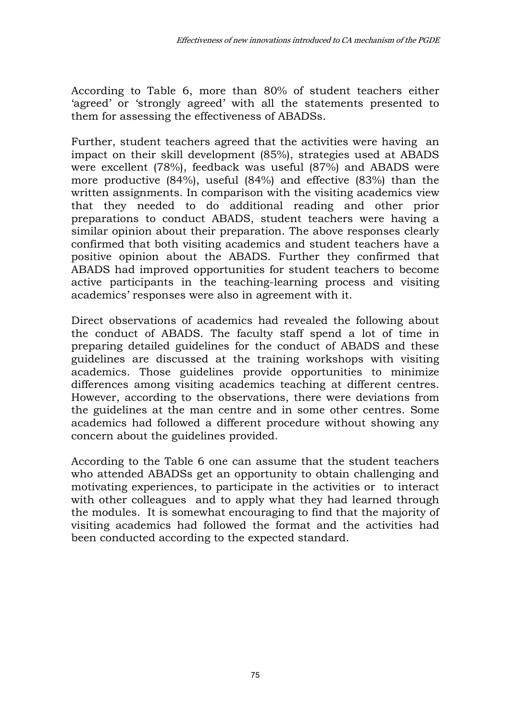According to Table 6, more than 80% of student teachers either 'agreed' or 'strongly agreed' with all the statements presented to them for assessing the effectiveness of ABADSs.

Further, student teachers agreed that the activities were having an impact on their skill development (85%), strategies used at ABADS were excellent (78%), feedback was useful (87%) and ABADS were more productive (84%), useful (84%) and effective (83%) than the written assignments. In comparison with the visiting academics view that they needed to do additional reading and other prior preparations to conduct ABADS, student teachers were having a similar opinion about their preparation. The above responses clearly confirmed that both visiting academics and student teachers have a positive opinion about the ABADS. Further they confirmed that ABADS had improved opportunities for student teachers to become active participants in the teaching-learning process and visiting academics' responses were also in agreement with it.

Direct observations of academics had revealed the following about the conduct of ABADS. The faculty staff spend a lot of time in preparing detailed guidelines for the conduct of ABADS and these guidelines are discussed at the training workshops with visiting academics. Those guidelines provide opportunities to minimize differences among visiting academics teaching at different centres. However, according to the observations, there were deviations from the guidelines at the man centre and in some other centres. Some academics had followed a different procedure without showing any concern about the guidelines provided.

According to the Table 6 one can assume that the student teachers who attended ABADSs get an opportunity to obtain challenging and motivating experiences, to participate in the activities or to interact with other colleagues and to apply what they had learned through the modules. It is somewhat encouraging to find that the majority of visiting academics had followed the format and the activities had been conducted according to the expected standard.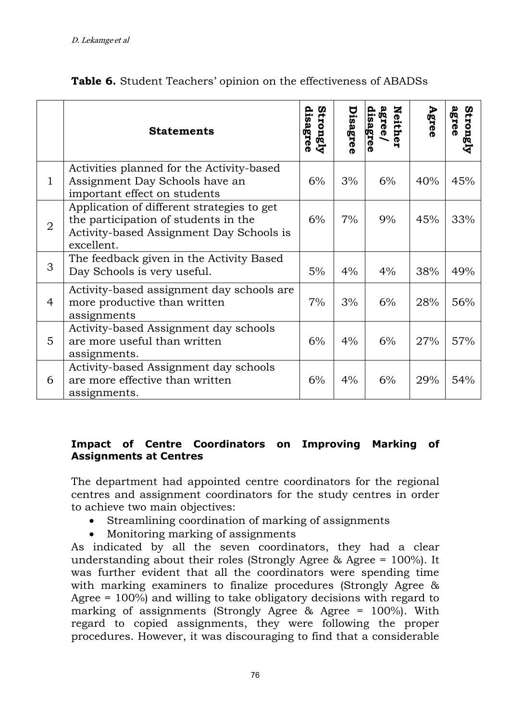|              | <b>Statements</b>                                                                                                                            | disagree<br>Strongly | Disagree | <b>Neith</b><br>agree/<br>disagre<br>® | Agree | agree<br>Strongly |
|--------------|----------------------------------------------------------------------------------------------------------------------------------------------|----------------------|----------|----------------------------------------|-------|-------------------|
| $\mathbf{1}$ | Activities planned for the Activity-based<br>Assignment Day Schools have an<br>important effect on students                                  | 6%                   | 3%       | 6%                                     | 40%   | 45%               |
| 2            | Application of different strategies to get<br>the participation of students in the<br>Activity-based Assignment Day Schools is<br>excellent. | 6%                   | 7%       | 9%                                     | 45%   | 33%               |
| 3            | The feedback given in the Activity Based<br>Day Schools is very useful.                                                                      | 5%                   | 4%       | 4%                                     | 38%   | 49%               |
| 4            | Activity-based assignment day schools are<br>more productive than written<br>assignments                                                     | 7%                   | 3%       | 6%                                     | 28%   | 56%               |
| 5            | Activity-based Assignment day schools<br>are more useful than written<br>assignments.                                                        | 6%                   | 4%       | 6%                                     | 27%   | 57%               |
| 6            | Activity-based Assignment day schools<br>are more effective than written<br>assignments.                                                     | 6%                   | 4%       | 6%                                     | 29%   | 54%               |

|  |  |  | Table 6. Student Teachers' opinion on the effectiveness of ABADSs |  |
|--|--|--|-------------------------------------------------------------------|--|
|  |  |  |                                                                   |  |

### **Impact of Centre Coordinators on Improving Marking of Assignments at Centres**

The department had appointed centre coordinators for the regional centres and assignment coordinators for the study centres in order to achieve two main objectives:

- Streamlining coordination of marking of assignments
- Monitoring marking of assignments

As indicated by all the seven coordinators, they had a clear understanding about their roles (Strongly Agree & Agree = 100%). It was further evident that all the coordinators were spending time with marking examiners to finalize procedures (Strongly Agree & Agree = 100%) and willing to take obligatory decisions with regard to marking of assignments (Strongly Agree & Agree = 100%). With regard to copied assignments, they were following the proper procedures. However, it was discouraging to find that a considerable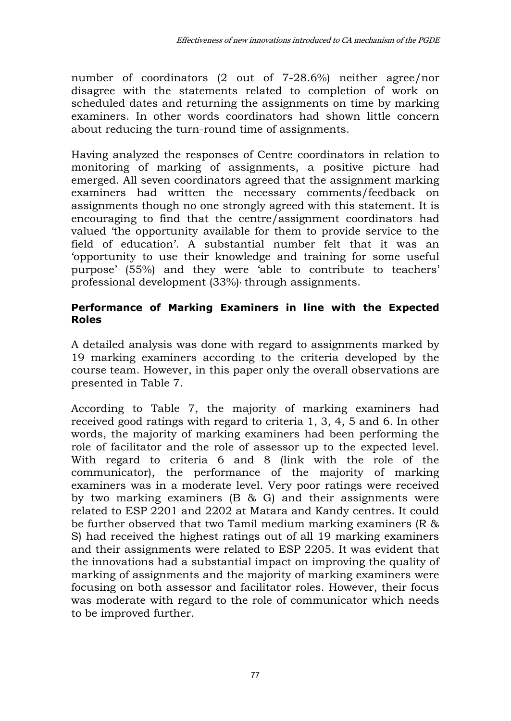number of coordinators (2 out of 7-28.6%) neither agree/nor disagree with the statements related to completion of work on scheduled dates and returning the assignments on time by marking examiners. In other words coordinators had shown little concern about reducing the turn-round time of assignments.

Having analyzed the responses of Centre coordinators in relation to monitoring of marking of assignments, a positive picture had emerged. All seven coordinators agreed that the assignment marking examiners had written the necessary comments/feedback on assignments though no one strongly agreed with this statement. It is encouraging to find that the centre/assignment coordinators had valued 'the opportunity available for them to provide service to the field of education'. A substantial number felt that it was an 'opportunity to use their knowledge and training for some useful purpose' (55%) and they were 'able to contribute to teachers' professional development (33%)' through assignments.

### **Performance of Marking Examiners in line with the Expected Roles**

A detailed analysis was done with regard to assignments marked by 19 marking examiners according to the criteria developed by the course team. However, in this paper only the overall observations are presented in Table 7.

According to Table 7, the majority of marking examiners had received good ratings with regard to criteria 1, 3, 4, 5 and 6. In other words, the majority of marking examiners had been performing the role of facilitator and the role of assessor up to the expected level. With regard to criteria 6 and 8 (link with the role of the communicator), the performance of the majority of marking examiners was in a moderate level. Very poor ratings were received by two marking examiners (B & G) and their assignments were related to ESP 2201 and 2202 at Matara and Kandy centres. It could be further observed that two Tamil medium marking examiners (R & S) had received the highest ratings out of all 19 marking examiners and their assignments were related to ESP 2205. It was evident that the innovations had a substantial impact on improving the quality of marking of assignments and the majority of marking examiners were focusing on both assessor and facilitator roles. However, their focus was moderate with regard to the role of communicator which needs to be improved further.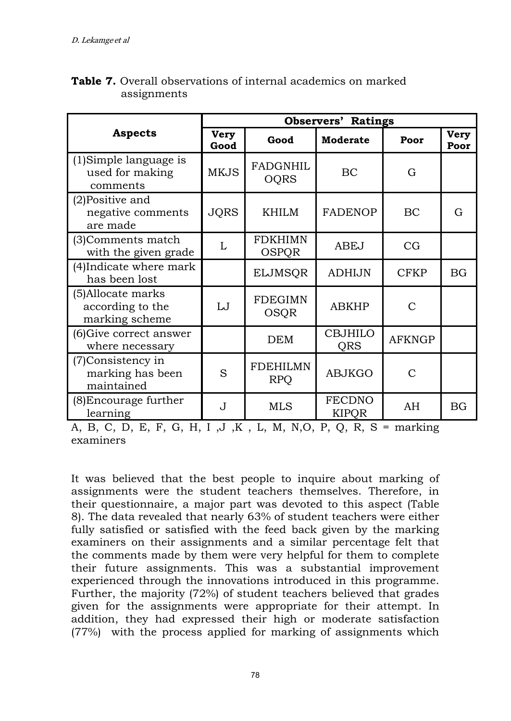|                                                          | <b>Observers' Ratings</b>   |                                |                               |               |                     |  |  |  |
|----------------------------------------------------------|-----------------------------|--------------------------------|-------------------------------|---------------|---------------------|--|--|--|
| <b>Aspects</b>                                           | <b>Very</b><br>Good<br>Good |                                | <b>Moderate</b>               | Poor          | <b>Very</b><br>Poor |  |  |  |
| (1) Simple language is<br>used for making<br>comments    | <b>MKJS</b>                 | <b>FADGNHIL</b><br><b>OQRS</b> | BC                            | G             |                     |  |  |  |
| (2) Positive and<br>negative comments<br>are made        | <b>JQRS</b><br>KHILM        |                                | <b>FADENOP</b>                | BC            | G                   |  |  |  |
| (3) Comments match<br>with the given grade               | L                           | FDKHIMN<br>OSPOR               | <b>ABEJ</b>                   | CG            |                     |  |  |  |
| (4) Indicate where mark<br>has been lost                 |                             | <b>ELJMSQR</b>                 | <b>ADHIJN</b>                 | <b>CFKP</b>   | <b>BG</b>           |  |  |  |
| (5) Allocate marks<br>according to the<br>marking scheme | IJ                          | <b>FDEGIMN</b><br>OSQR         | <b>ABKHP</b>                  | $\subset$     |                     |  |  |  |
| (6) Give correct answer<br>where necessary               |                             | <b>DEM</b>                     | <b>CBJHILO</b><br>QRS         | <b>AFKNGP</b> |                     |  |  |  |
| (7) Consistency in<br>marking has been<br>maintained     | S                           | <b>FDEHILMN</b><br><b>RPQ</b>  | <b>ABJKGO</b>                 | $\mathcal{C}$ |                     |  |  |  |
| (8) Encourage further<br>learning                        | J                           | <b>MLS</b>                     | <b>FECDNO</b><br><b>KIPOR</b> | AH            | BG                  |  |  |  |

## **Table 7.** Overall observations of internal academics on marked assignments

A, B, C, D, E, F, G, H, I , J , K , L, M, N, O, P, Q, R, S = marking examiners

It was believed that the best people to inquire about marking of assignments were the student teachers themselves. Therefore, in their questionnaire, a major part was devoted to this aspect (Table 8). The data revealed that nearly 63% of student teachers were either fully satisfied or satisfied with the feed back given by the marking examiners on their assignments and a similar percentage felt that the comments made by them were very helpful for them to complete their future assignments. This was a substantial improvement experienced through the innovations introduced in this programme. Further, the majority (72%) of student teachers believed that grades given for the assignments were appropriate for their attempt. In addition, they had expressed their high or moderate satisfaction (77%) with the process applied for marking of assignments which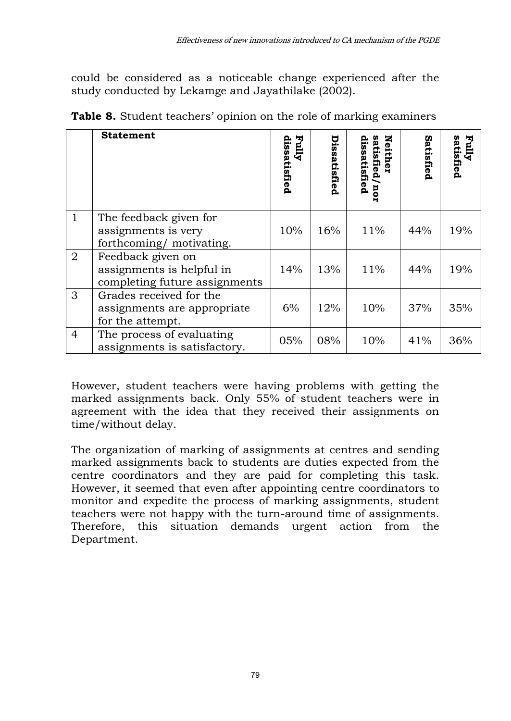could be considered as a noticeable change experienced after the study conducted by Lekamge and Jayathilake (2002).

|                | <b>Statement</b>                                                                | <b>Eully</b><br>issatisfied | Dissatisfied | z<br>dissatisfied<br>atisfied/nor<br>either | Satisfied | Fully<br>satisfied |
|----------------|---------------------------------------------------------------------------------|-----------------------------|--------------|---------------------------------------------|-----------|--------------------|
| $\mathbf{1}$   | The feedback given for<br>assignments is very<br>forthcoming/motivating.        | 10%                         | 16%          | 11%                                         | 44%       | 19%                |
| $\overline{2}$ | Feedback given on<br>assignments is helpful in<br>completing future assignments | 14%                         | 13%          | 11%                                         | 44%       | 19%                |
| 3              | Grades received for the<br>assignments are appropriate<br>for the attempt.      | 6%                          | 12%          | 10%                                         | 37%       | 35%                |
| $\overline{4}$ | The process of evaluating<br>assignments is satisfactory.                       | 05%                         | 08%          | 10%                                         | 41%       | 36%                |

**Table 8.** Student teachers' opinion on the role of marking examiners

However, student teachers were having problems with getting the marked assignments back. Only 55% of student teachers were in agreement with the idea that they received their assignments on time/without delay.

The organization of marking of assignments at centres and sending marked assignments back to students are duties expected from the centre coordinators and they are paid for completing this task. However, it seemed that even after appointing centre coordinators to monitor and expedite the process of marking assignments, student teachers were not happy with the turn-around time of assignments. Therefore, this situation demands urgent action from the Department.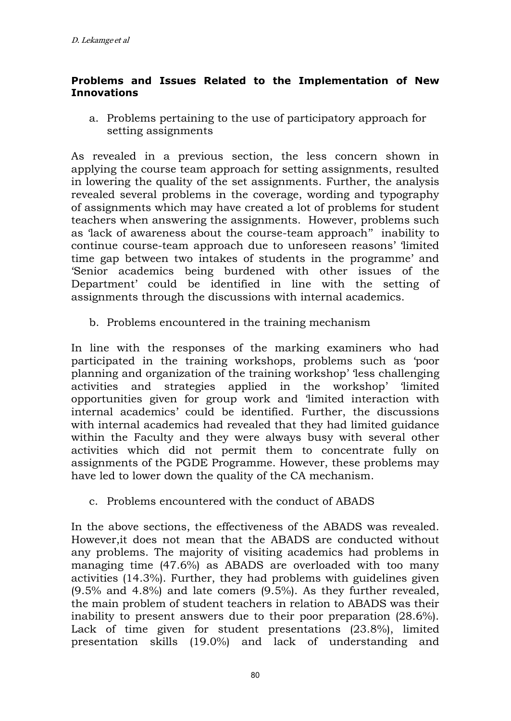#### **Problems and Issues Related to the Implementation of New Innovations**

a. Problems pertaining to the use of participatory approach for setting assignments

As revealed in a previous section, the less concern shown in applying the course team approach for setting assignments, resulted in lowering the quality of the set assignments. Further, the analysis revealed several problems in the coverage, wording and typography of assignments which may have created a lot of problems for student teachers when answering the assignments. However, problems such as 'lack of awareness about the course-team approach'' inability to continue course-team approach due to unforeseen reasons' 'limited time gap between two intakes of students in the programme' and 'Senior academics being burdened with other issues of the Department' could be identified in line with the setting of assignments through the discussions with internal academics.

b. Problems encountered in the training mechanism

In line with the responses of the marking examiners who had participated in the training workshops, problems such as 'poor planning and organization of the training workshop' 'less challenging activities and strategies applied in the workshop' 'limited opportunities given for group work and 'limited interaction with internal academics' could be identified. Further, the discussions with internal academics had revealed that they had limited guidance within the Faculty and they were always busy with several other activities which did not permit them to concentrate fully on assignments of the PGDE Programme. However, these problems may have led to lower down the quality of the CA mechanism.

c. Problems encountered with the conduct of ABADS

In the above sections, the effectiveness of the ABADS was revealed. However,it does not mean that the ABADS are conducted without any problems. The majority of visiting academics had problems in managing time (47.6%) as ABADS are overloaded with too many activities (14.3%). Further, they had problems with guidelines given (9.5% and 4.8%) and late comers (9.5%). As they further revealed, the main problem of student teachers in relation to ABADS was their inability to present answers due to their poor preparation (28.6%). Lack of time given for student presentations (23.8%), limited presentation skills (19.0%) and lack of understanding and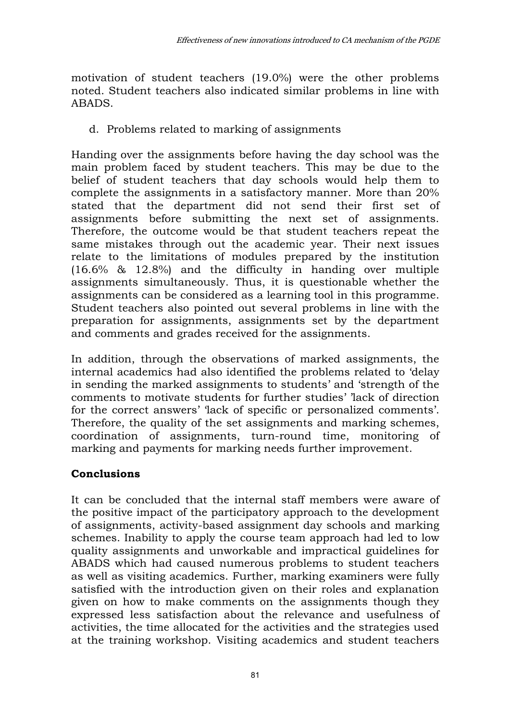motivation of student teachers (19.0%) were the other problems noted. Student teachers also indicated similar problems in line with ABADS.

d. Problems related to marking of assignments

Handing over the assignments before having the day school was the main problem faced by student teachers. This may be due to the belief of student teachers that day schools would help them to complete the assignments in a satisfactory manner. More than 20% stated that the department did not send their first set of assignments before submitting the next set of assignments. Therefore, the outcome would be that student teachers repeat the same mistakes through out the academic year. Their next issues relate to the limitations of modules prepared by the institution (16.6% & 12.8%) and the difficulty in handing over multiple assignments simultaneously. Thus, it is questionable whether the assignments can be considered as a learning tool in this programme. Student teachers also pointed out several problems in line with the preparation for assignments, assignments set by the department and comments and grades received for the assignments.

In addition, through the observations of marked assignments, the internal academics had also identified the problems related to 'delay in sending the marked assignments to students' and 'strength of the comments to motivate students for further studies' 'lack of direction for the correct answers' 'lack of specific or personalized comments'. Therefore, the quality of the set assignments and marking schemes, coordination of assignments, turn-round time, monitoring of marking and payments for marking needs further improvement.

## **Conclusions**

It can be concluded that the internal staff members were aware of the positive impact of the participatory approach to the development of assignments, activity-based assignment day schools and marking schemes. Inability to apply the course team approach had led to low quality assignments and unworkable and impractical guidelines for ABADS which had caused numerous problems to student teachers as well as visiting academics. Further, marking examiners were fully satisfied with the introduction given on their roles and explanation given on how to make comments on the assignments though they expressed less satisfaction about the relevance and usefulness of activities, the time allocated for the activities and the strategies used at the training workshop. Visiting academics and student teachers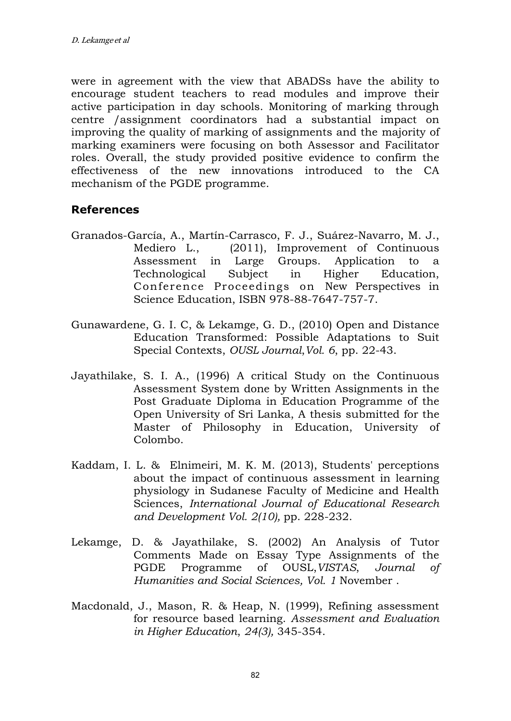were in agreement with the view that ABADSs have the ability to encourage student teachers to read modules and improve their active participation in day schools. Monitoring of marking through centre /assignment coordinators had a substantial impact on improving the quality of marking of assignments and the majority of marking examiners were focusing on both Assessor and Facilitator roles. Overall, the study provided positive evidence to confirm the effectiveness of the new innovations introduced to the CA mechanism of the PGDE programme.

## **References**

- Granados-García, A., Martín-Carrasco, F. J., Suárez-Navarro, M. J., Mediero L., (2011), Improvement of Continuous Assessment in Large Groups. Application to a Technological Subject in Higher Education, Conference Proceedings on New Perspectives in Science Education, ISBN 978-88-7647-757-7.
- Gunawardene, G. I. C, & Lekamge, G. D., (2010) Open and Distance Education Transformed: Possible Adaptations to Suit Special Contexts, *OUSL Journal*,*Vol. 6*, pp. 22-43.
- Jayathilake, S. I. A., (1996) A critical Study on the Continuous Assessment System done by Written Assignments in the Post Graduate Diploma in Education Programme of the Open University of Sri Lanka, A thesis submitted for the Master of Philosophy in Education, University of Colombo.
- Kaddam, I. L. & Elnimeiri, M. K. M. (2013), Students' perceptions about the impact of continuous assessment in learning physiology in Sudanese Faculty of Medicine and Health Sciences, *International Journal of Educational Research and Development Vol. 2(10),* pp. 228-232.
- Lekamge, D. & Jayathilake, S. (2002) An Analysis of Tutor Comments Made on Essay Type Assignments of the PGDE Programme of OUSL,*VISTAS*, *Journal of Humanities and Social Sciences, Vol. 1* November .
- Macdonald, J., Mason, R. & Heap, N. (1999), Refining assessment for resource based learning. *Assessment and Evaluation in Higher Education*, *24(3),* 345-354.